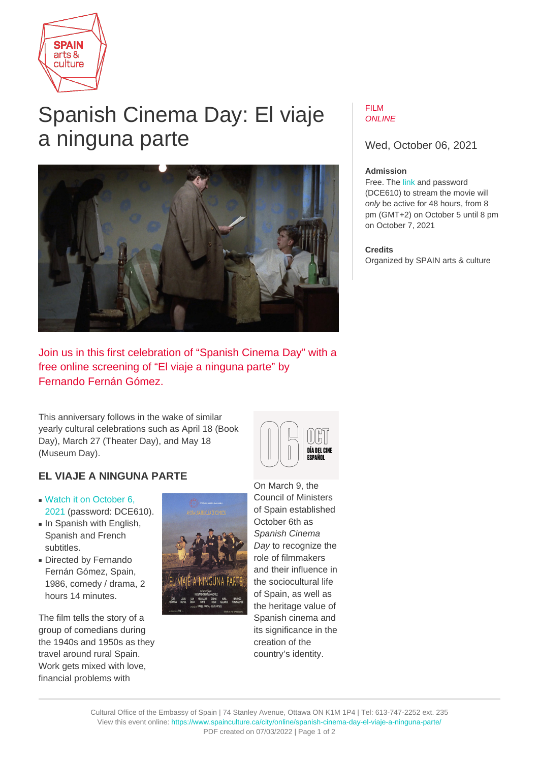

# Spanish Cinema Day: El viaje a ninguna parte



#### FILM ONI INF

Wed, October 06, 2021

## **Admission**

Free. The [link](https://vimeo.com/aecid/aecid6octubre) and password (DCE610) to stream the movie will only be active for 48 hours, from 8 pm (GMT+2) on October 5 until 8 pm on October 7, 2021

### **Credits**

Organized by SPAIN arts & culture

Join us in this first celebration of "Spanish Cinema Day" with a free online screening of "El viaje a ninguna parte" by Fernando Fernán Gómez.

This anniversary follows in the wake of similar yearly cultural celebrations such as April 18 (Book Day), March 27 (Theater Day), and May 18 (Museum Day).

# **EL VIAJE A NINGUNA PARTE**

- [Watch it on October 6,](https://vimeo.com/aecid/aecid6octubre) [2021](https://vimeo.com/aecid/aecid6octubre) (password: DCE610).
- In Spanish with English, Spanish and French subtitles.
- Directed by Fernando Fernán Gómez, Spain, 1986, comedy / drama, 2 hours 14 minutes.

The film tells the story of a group of comedians during the 1940s and 1950s as they travel around rural Spain. Work gets mixed with love, financial problems with



On March 9, the Council of Ministers of Spain established October 6th as Spanish Cinema Day to recognize the role of filmmakers and their influence in the sociocultural life of Spain, as well as the heritage value of Spanish cinema and its significance in the creation of the country's identity.

DÍA DEL CINE